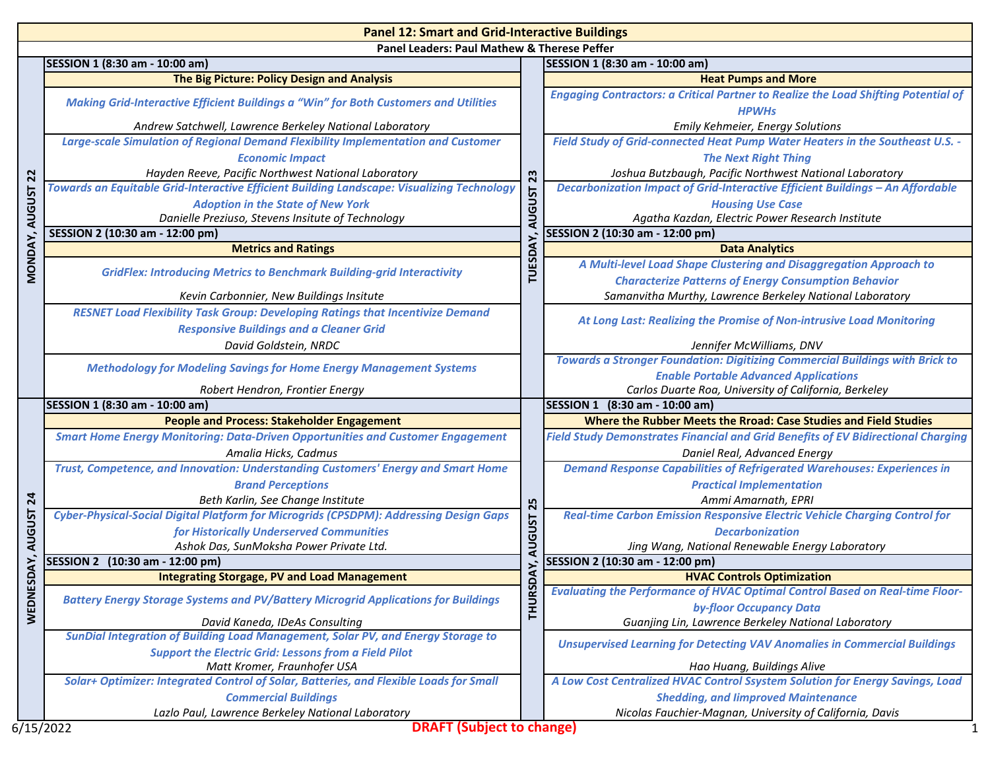| <b>Panel 12: Smart and Grid-Interactive Buildings</b> |                                                                                                                                         |                      |                                                                                                                |  |
|-------------------------------------------------------|-----------------------------------------------------------------------------------------------------------------------------------------|----------------------|----------------------------------------------------------------------------------------------------------------|--|
| Panel Leaders: Paul Mathew & Therese Peffer           |                                                                                                                                         |                      |                                                                                                                |  |
|                                                       | SESSION 1 (8:30 am - 10:00 am)                                                                                                          |                      | SESSION 1 (8:30 am - 10:00 am)                                                                                 |  |
| $\overline{2}$<br><b>AUGUST</b>                       | The Big Picture: Policy Design and Analysis                                                                                             |                      | <b>Heat Pumps and More</b>                                                                                     |  |
|                                                       | Making Grid-Interactive Efficient Buildings a "Win" for Both Customers and Utilities                                                    |                      | <b>Engaging Contractors: a Critical Partner to Realize the Load Shifting Potential of</b><br><b>HPWHS</b>      |  |
|                                                       | Andrew Satchwell, Lawrence Berkeley National Laboratory                                                                                 |                      | Emily Kehmeier, Energy Solutions                                                                               |  |
|                                                       | Large-scale Simulation of Regional Demand Flexibility Implementation and Customer                                                       |                      | Field Study of Grid-connected Heat Pump Water Heaters in the Southeast U.S. -                                  |  |
|                                                       | <b>Economic Impact</b>                                                                                                                  |                      | <b>The Next Right Thing</b>                                                                                    |  |
|                                                       | Hayden Reeve, Pacific Northwest National Laboratory                                                                                     |                      | Joshua Butzbaugh, Pacific Northwest National Laboratory                                                        |  |
|                                                       | Towards an Equitable Grid-Interactive Efficient Building Landscape: Visualizing Technology                                              |                      | Decarbonization Impact of Grid-Interactive Efficient Buildings - An Affordable                                 |  |
|                                                       | <b>Adoption in the State of New York</b>                                                                                                | AUGUST <sub>23</sub> | <b>Housing Use Case</b>                                                                                        |  |
|                                                       | Danielle Preziuso, Stevens Insitute of Technology                                                                                       |                      | Agatha Kazdan, Electric Power Research Institute                                                               |  |
|                                                       | SESSION 2 (10:30 am - 12:00 pm)                                                                                                         |                      | SESSION 2 (10:30 am - 12:00 pm)                                                                                |  |
|                                                       | <b>Metrics and Ratings</b>                                                                                                              |                      | <b>Data Analytics</b>                                                                                          |  |
| MONDAY,                                               | <b>GridFlex: Introducing Metrics to Benchmark Building-grid Interactivity</b>                                                           | TUESDAY              | A Multi-level Load Shape Clustering and Disaggregation Approach to                                             |  |
|                                                       |                                                                                                                                         |                      | <b>Characterize Patterns of Energy Consumption Behavior</b>                                                    |  |
|                                                       | Kevin Carbonnier, New Buildings Insitute                                                                                                |                      | Samanvitha Murthy, Lawrence Berkeley National Laboratory                                                       |  |
|                                                       | <b>RESNET Load Flexibility Task Group: Developing Ratings that Incentivize Demand</b><br><b>Responsive Buildings and a Cleaner Grid</b> |                      | At Long Last: Realizing the Promise of Non-intrusive Load Monitoring                                           |  |
|                                                       | David Goldstein, NRDC                                                                                                                   |                      | Jennifer McWilliams, DNV                                                                                       |  |
|                                                       |                                                                                                                                         |                      | Towards a Stronger Foundation: Digitizing Commercial Buildings with Brick to                                   |  |
|                                                       | <b>Methodology for Modeling Savings for Home Energy Management Systems</b>                                                              |                      | <b>Enable Portable Advanced Applications</b>                                                                   |  |
|                                                       | Robert Hendron, Frontier Energy                                                                                                         |                      | Carlos Duarte Roa, University of California, Berkeley                                                          |  |
|                                                       | SESSION 1 (8:30 am - 10:00 am)                                                                                                          |                      | SESSION 1 (8:30 am - 10:00 am)                                                                                 |  |
| 24<br><b>AUGUST</b>                                   | <b>People and Process: Stakeholder Engagement</b>                                                                                       |                      | Where the Rubber Meets the Rroad: Case Studies and Field Studies                                               |  |
|                                                       | <b>Smart Home Energy Monitoring: Data-Driven Opportunities and Customer Engagement</b>                                                  |                      | <b>Field Study Demonstrates Financial and Grid Benefits of EV Bidirectional Charging</b>                       |  |
|                                                       | Amalia Hicks, Cadmus                                                                                                                    |                      | Daniel Real, Advanced Energy                                                                                   |  |
|                                                       | Trust, Competence, and Innovation: Understanding Customers' Energy and Smart Home                                                       |                      | <b>Demand Response Capabilities of Refrigerated Warehouses: Experiences in</b>                                 |  |
|                                                       | <b>Brand Perceptions</b>                                                                                                                |                      | <b>Practical Implementation</b>                                                                                |  |
|                                                       | Beth Karlin, See Change Institute                                                                                                       |                      | Ammi Amarnath, EPRI                                                                                            |  |
|                                                       | Cyber-Physical-Social Digital Platform for Microgrids (CPSDPM): Addressing Design Gaps                                                  | AUGUST 25            | Real-time Carbon Emission Responsive Electric Vehicle Charging Control for                                     |  |
|                                                       | for Historically Underserved Communities                                                                                                |                      | <b>Decarbonization</b>                                                                                         |  |
|                                                       | Ashok Das, SunMoksha Power Private Ltd.                                                                                                 |                      | Jing Wang, National Renewable Energy Laboratory                                                                |  |
| SDAY,                                                 | SESSION 2 (10:30 am - 12:00 pm)                                                                                                         |                      | SESSION 2 (10:30 am - 12:00 pm)                                                                                |  |
|                                                       | <b>Integrating Storgage, PV and Load Management</b>                                                                                     | DAY                  | <b>HVAC Controls Optimization</b>                                                                              |  |
| WEDNE                                                 | <b>Battery Energy Storage Systems and PV/Battery Microgrid Applications for Buildings</b>                                               | <b>THURSI</b>        | <b>Evaluating the Performance of HVAC Optimal Control Based on Real-time Floor-</b><br>by-floor Occupancy Data |  |
|                                                       | David Kaneda, IDeAs Consulting                                                                                                          |                      | Guanjing Lin, Lawrence Berkeley National Laboratory                                                            |  |
|                                                       | SunDial Integration of Building Load Management, Solar PV, and Energy Storage to                                                        |                      |                                                                                                                |  |
|                                                       | <b>Support the Electric Grid: Lessons from a Field Pilot</b>                                                                            |                      | <b>Unsupervised Learning for Detecting VAV Anomalies in Commercial Buildings</b>                               |  |
|                                                       | Matt Kromer, Fraunhofer USA                                                                                                             |                      | Hao Huang, Buildings Alive                                                                                     |  |
|                                                       | Solar+ Optimizer: Integrated Control of Solar, Batteries, and Flexible Loads for Small                                                  |                      | A Low Cost Centralized HVAC Control Ssystem Solution for Energy Savings, Load                                  |  |
|                                                       | <b>Commercial Buildings</b>                                                                                                             |                      | <b>Shedding, and limproved Maintenance</b>                                                                     |  |
|                                                       | Lazlo Paul, Lawrence Berkeley National Laboratory                                                                                       |                      | Nicolas Fauchier-Magnan, University of California, Davis                                                       |  |
|                                                       |                                                                                                                                         |                      |                                                                                                                |  |